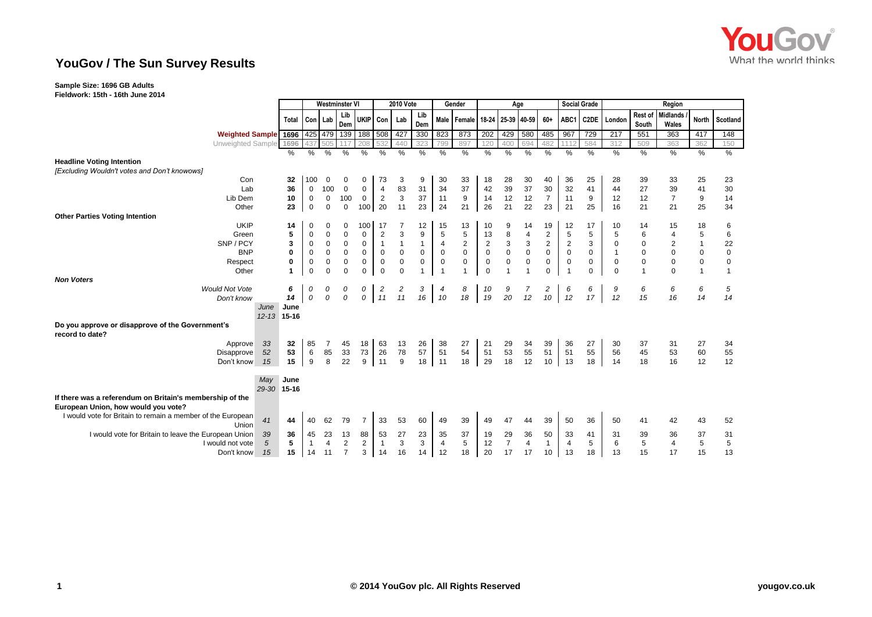# **YouGov / The Sun Survey Results**

## **Sample Size: 1696 GB Adults**

**Fieldwork: 15th - 16th June 2014**

|                                                                      |              | <b>Westminster VI</b> |                |                |                |                | <b>2010 Vote</b> |               |                | Gender         |                |                | Age                       |                         |                | <b>Social Grade</b> | Region       |                  |                          |              |              |  |
|----------------------------------------------------------------------|--------------|-----------------------|----------------|----------------|----------------|----------------|------------------|---------------|----------------|----------------|----------------|----------------|---------------------------|-------------------------|----------------|---------------------|--------------|------------------|--------------------------|--------------|--------------|--|
|                                                                      | Total        | Con Lab               |                | Lib<br>Dem     |                | UKIP Con       | Lab              | Lib<br>Dem    |                | Male Female    |                |                | 18-24 25-39 40-59         | 60+                     | ABC1           | C <sub>2</sub> DE   | London       | Rest of<br>South | <b>Midlands</b><br>Wales | <b>North</b> | Scotland     |  |
| <b>Weighted Sample</b> 1696                                          |              | 425 479               |                |                | 139 188 508    |                | 427              | 330           | 823            | 873            | 202            | 429            | 580                       | 485                     | 967            | 729                 | 217          | 551              | 363                      | 417          | 148          |  |
| Unweighted Sample                                                    | 1696         | 437                   | 505            |                | 208            |                | 440              | 323           | 799            | 897            | 120            | 400            | 694                       | 482                     | 1112           | 584                 | 312          | 509              | 363                      | 362          | 150          |  |
|                                                                      | $\%$         | %                     | %              | %              | %              | %              | $\%$             | $\frac{0}{0}$ | $\%$           | $\frac{0}{0}$  | %              | $\frac{0}{0}$  | $\frac{9}{6}$             | $\%$                    | $\%$           | $\%$                | $\%$         | $\frac{0}{0}$    | $\%$                     | $\%$         | %            |  |
| <b>Headline Voting Intention</b>                                     |              |                       |                |                |                |                |                  |               |                |                |                |                |                           |                         |                |                     |              |                  |                          |              |              |  |
| [Excluding Wouldn't votes and Don't knowows]                         |              |                       |                |                |                |                |                  |               |                |                |                |                |                           |                         |                |                     |              |                  |                          |              |              |  |
| Con                                                                  | 32           | 100                   | 0              | $\Omega$       | 0              | 73             | 3                | 9             | 30             | 33             | 18             | 28             | 30                        | 40                      | 36             | 25                  | 28           | 39               | 33                       | 25           | 23           |  |
| Lab                                                                  | 36           | $\mathbf 0$           | 100            | $\mathbf 0$    | 0              | $\overline{4}$ | 83               | 31            | 34             | 37             | 42             | 39             | 37                        | 30                      | 32             | 41                  | 44           | 27               | 39                       | 41           | 30           |  |
| Lib Dem                                                              | 10           | $\mathbf 0$           | 0              | 100            | $\mathbf 0$    | $\overline{2}$ | 3                | 37            | 11             | 9              | 14             | 12             | 12                        | $\overline{7}$          | 11             | 9                   | 12           | 12               | $\overline{7}$           | 9            | 14           |  |
| Other                                                                | 23           | $\mathbf 0$           | $\mathbf 0$    | 0              | 100            | 20             | 11               | 23            | 24             | 21             | 26             | 21             | 22                        | 23                      | 21             | 25                  | 16           | 21               | 21                       | 25           | 34           |  |
| <b>Other Parties Voting Intention</b>                                |              |                       |                |                |                |                |                  |               |                |                |                |                |                           |                         |                |                     |              |                  |                          |              |              |  |
| <b>UKIP</b>                                                          | 14           | 0                     | 0              | $\Omega$       | 100            | 17             |                  | 12            | 15             | 13             | 10             | 9              | 14                        | 19                      | 12             | 17                  | 10           | 14               | 15                       | 18           | 6            |  |
| Green                                                                | 5            | $\mathbf 0$           | $\mathbf 0$    | $\mathbf 0$    | $\mathbf 0$    | $\overline{2}$ | 3                | 9             | 5              | 5              | 13             | 8              | $\overline{4}$            | $\overline{\mathbf{c}}$ | 5              | 5                   | 5            | 6                | 4                        | 5            | 6            |  |
| SNP/PCY                                                              | 3            | 0                     | $\mathbf 0$    | $\mathbf 0$    | 0              | $\overline{1}$ | $\mathbf{1}$     | $\mathbf{1}$  | $\overline{4}$ | $\overline{2}$ | $\overline{2}$ | 3              | $\ensuremath{\mathsf{3}}$ | $\overline{\mathbf{c}}$ | $\sqrt{2}$     | 3                   | $\mathbf 0$  | $\mathbf 0$      | $\overline{\mathbf{c}}$  | $\mathbf{1}$ | 22           |  |
| <b>BNP</b>                                                           | $\bf{0}$     | $\pmb{0}$             | $\pmb{0}$      | $\pmb{0}$      | $\mathbf 0$    | $\pmb{0}$      | $\mathbf 0$      | $\mathbf 0$   | $\pmb{0}$      | $\mathbf 0$    | $\mathbf 0$    | $\pmb{0}$      | $\pmb{0}$                 | $\mathbf 0$             | $\pmb{0}$      | 0                   | $\mathbf{1}$ | $\pmb{0}$        | 0                        | $\pmb{0}$    | $\pmb{0}$    |  |
| Respect                                                              | $\bf{0}$     | $\mathbf 0$           | $\mathbf 0$    | $\mathbf 0$    | $\mathbf 0$    | $\mathbf 0$    | $\mathbf 0$      | $\mathbf 0$   | $\mathbf 0$    | $\mathbf 0$    | $\mathsf 0$    | $\pmb{0}$      | $\pmb{0}$                 | $\mathbf 0$             | $\mathbf 0$    | 0                   | $\mathbf 0$  | 0                | 0                        | $\pmb{0}$    | $\pmb{0}$    |  |
| Other                                                                |              | $\Omega$              | $\Omega$       | $\Omega$       | $\Omega$       | $\Omega$       | $\Omega$         |               |                |                | $\Omega$       |                |                           | $\Omega$                |                | $\Omega$            | $\Omega$     | $\mathbf{1}$     | $\Omega$                 | $\mathbf{1}$ | $\mathbf{1}$ |  |
| <b>Non Voters</b>                                                    |              |                       |                |                |                |                |                  |               |                |                |                |                |                           |                         |                |                     |              |                  |                          |              |              |  |
| <b>Would Not Vote</b>                                                | 6            | 0                     | 0              | 0              | 0              | $\overline{c}$ | 2                | 3             | $\overline{4}$ | 8              | 10             | 9              | 7                         | 2                       | 6              | 6                   | 9            | 6                | 6                        | 6            | 5            |  |
| Don't know                                                           | 14           | 0                     | 0              | 0              | 0              | 11             | 11               | 16            | 10             | 18             | 19             | 20             | 12                        | 10                      | 12             | 17                  | 12           | 15               | 16                       | 14           | 14           |  |
|                                                                      | June<br>June |                       |                |                |                |                |                  |               |                |                |                |                |                           |                         |                |                     |              |                  |                          |              |              |  |
|                                                                      | 12-13 15-16  |                       |                |                |                |                |                  |               |                |                |                |                |                           |                         |                |                     |              |                  |                          |              |              |  |
| Do you approve or disapprove of the Government's                     |              |                       |                |                |                |                |                  |               |                |                |                |                |                           |                         |                |                     |              |                  |                          |              |              |  |
| record to date?                                                      |              |                       |                |                |                |                |                  |               |                |                |                |                |                           |                         |                |                     |              |                  |                          |              |              |  |
| Approve                                                              | 33<br>32     | 85                    | 7              | 45             | 18             | 63             | 13               | 26            | 38             | 27             | 21             | 29             | 34                        | 39                      | 36             | 27                  | 30           | 37               | 31                       | 27           | 34           |  |
| Disapprove                                                           | 52<br>53     | 6                     | 85             | 33             | 73             | 26             | 78               | 57            | 51             | 54             | 51             | 53             | 55                        | 51                      | 51             | 55                  | 56           | 45               | 53                       | 60           | 55           |  |
| Don't know                                                           | 15<br>15     | 9                     | 8              | 22             | 9              | 11             | 9                | 18            | 11             | 18             | 29             | 18             | 12                        | 10                      | 13             | 18                  | 14           | 18               | 16                       | 12           | 12           |  |
|                                                                      |              |                       |                |                |                |                |                  |               |                |                |                |                |                           |                         |                |                     |              |                  |                          |              |              |  |
|                                                                      | May<br>June  |                       |                |                |                |                |                  |               |                |                |                |                |                           |                         |                |                     |              |                  |                          |              |              |  |
|                                                                      | 29-30 15-16  |                       |                |                |                |                |                  |               |                |                |                |                |                           |                         |                |                     |              |                  |                          |              |              |  |
| If there was a referendum on Britain's membership of the             |              |                       |                |                |                |                |                  |               |                |                |                |                |                           |                         |                |                     |              |                  |                          |              |              |  |
| European Union, how would you vote?                                  |              |                       |                |                |                |                |                  |               |                |                |                |                |                           |                         |                |                     |              |                  |                          |              |              |  |
| I would vote for Britain to remain a member of the European<br>Union | 41<br>44     | 40                    | 62             | 79             | $\overline{7}$ | 33             | 53               | 60            | 49             | 39             | 49             | 47             | 44                        | 39                      | 50             | 36                  | 50           | 41               | 42                       | 43           | 52           |  |
| I would vote for Britain to leave the European Union                 | 39<br>36     | 45                    | 23             | 13             | 88             | 53             | 27               | 23            | 35             | 37             | 19             | 29             | 36                        | 50                      | 33             | 41                  | 31           | 39               | 36                       | 37           | 31           |  |
| I would not vote                                                     | 5<br>5       | $\mathbf{1}$          | $\overline{4}$ | $\overline{2}$ | $\overline{2}$ | $\overline{1}$ | 3                | 3             | $\overline{4}$ | 5              | 12             | $\overline{7}$ | $\overline{4}$            | 1                       | $\overline{4}$ | 5                   | 6            | 5                | $\overline{4}$           | 5            | 5            |  |
| Don't know                                                           | 15<br>15     | 14                    | 11             | $\overline{7}$ | 3              | 14             | 16               | 14            | 12             | 18             | 20             | 17             | 17                        | 10                      | 13             | 18                  | 13           | 15               | 17                       | 15           | 13           |  |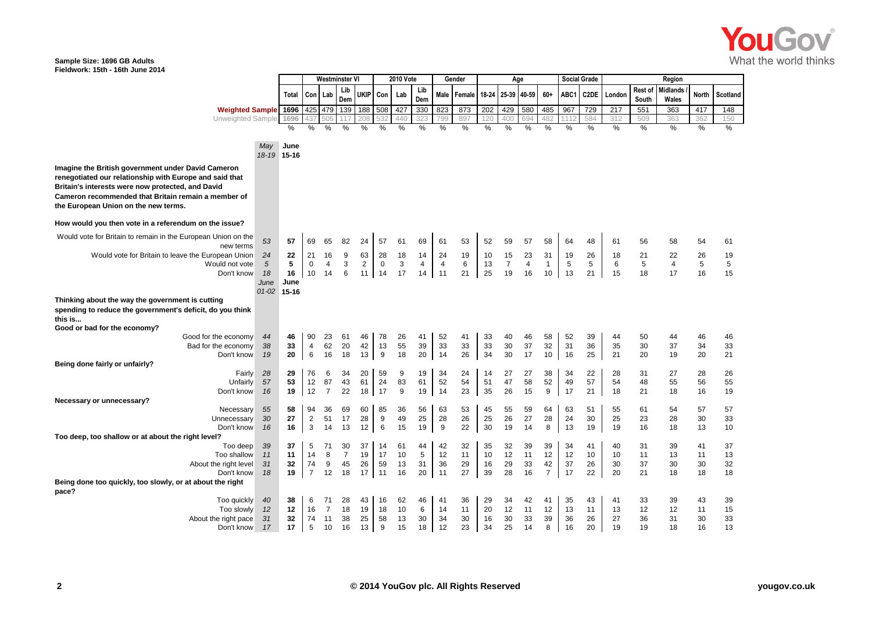## **Sample Size: 1696 GB Adults Fieldwork: 15th - 16th June 2014**

|                                                                                                                                                                                                                                                                   |                                          |                       |                       | Westminster VI |                |                            |               | <b>2010 Vote</b> |               |                            | Gender        |                |                            | Age                        |                          |               | <b>Social Grade</b><br>Region |               |                  |                   |               |               |
|-------------------------------------------------------------------------------------------------------------------------------------------------------------------------------------------------------------------------------------------------------------------|------------------------------------------|-----------------------|-----------------------|----------------|----------------|----------------------------|---------------|------------------|---------------|----------------------------|---------------|----------------|----------------------------|----------------------------|--------------------------|---------------|-------------------------------|---------------|------------------|-------------------|---------------|---------------|
|                                                                                                                                                                                                                                                                   |                                          | Total                 | Con                   | Lab            | Lib<br>Dem     | <b>UKIP</b>                | Con           | Lab              | Lib<br>Dem    | Male                       | <b>Female</b> | 18-24          | 25-39                      | 40-59                      | $60+$                    | ABC1          | C <sub>2</sub> DE             | Londor        | Rest of<br>South | Midlands<br>Wales | <b>North</b>  | Scotland      |
| <b>Weighted Sample</b> 1696                                                                                                                                                                                                                                       |                                          |                       | 425                   | 479            | 139            | 188                        | 508           | 427              | 330           | 823                        | 873           | 202            | 429                        | 580                        | 485                      | 967           | 729                           | 217           | 551              | 363               | 417           | 148           |
| Unweighted Sample                                                                                                                                                                                                                                                 |                                          | 1696                  |                       | 505            |                | 208                        |               | 440              | 323           | 799                        | 897           | 120            | 400                        | 694                        | 482                      |               | 584                           | 312           | 509              | 363               | 362           | 150           |
|                                                                                                                                                                                                                                                                   |                                          | %                     | %                     | %              | %              | %                          | %             | %                | $\%$          | %                          | %             | %              | %                          | %                          | %                        | $\%$          | %                             | %             | %                | $\%$              | %             | %             |
|                                                                                                                                                                                                                                                                   | May<br>18-19 15-16                       | June                  |                       |                |                |                            |               |                  |               |                            |               |                |                            |                            |                          |               |                               |               |                  |                   |               |               |
| Imagine the British government under David Cameron<br>renegotiated our relationship with Europe and said that<br>Britain's interests were now protected, and David<br>Cameron recommended that Britain remain a member of<br>the European Union on the new terms. |                                          |                       |                       |                |                |                            |               |                  |               |                            |               |                |                            |                            |                          |               |                               |               |                  |                   |               |               |
| How would you then vote in a referendum on the issue?                                                                                                                                                                                                             |                                          |                       |                       |                |                |                            |               |                  |               |                            |               |                |                            |                            |                          |               |                               |               |                  |                   |               |               |
| Would vote for Britain to remain in the European Union on the<br>new terms                                                                                                                                                                                        | 53                                       | 57                    | 69                    | 65             | 82             | 24                         | 57            | 61               | 69            | 61                         | 53            | 52             | 59                         | 57                         | 58                       | 64            | 48                            | 61            | 56               | 58                | 54            | 61            |
| Would vote for Britain to leave the European Union<br>Would not vote<br>Don't know                                                                                                                                                                                | 24<br>5<br>18<br>June<br>$01 - 02$ 15-16 | 22<br>5<br>16<br>June | 21<br>$\pmb{0}$<br>10 | 16<br>4<br>14  | 9<br>3<br>6    | 63<br>$\overline{2}$<br>11 | 28<br>0<br>14 | 18<br>3<br>17    | 14<br>4<br>14 | 24<br>$\overline{a}$<br>11 | 19<br>6<br>21 | 10<br>13<br>25 | 15<br>$\overline{7}$<br>19 | 23<br>$\overline{4}$<br>16 | 31<br>$\mathbf{1}$<br>10 | 19<br>5<br>13 | 26<br>5<br>21                 | 18<br>6<br>15 | 21<br>5<br>18    | 22<br>4<br>17     | 26<br>5<br>16 | 19<br>5<br>15 |
| Thinking about the way the government is cutting<br>spending to reduce the government's deficit, do you think<br>this is<br>Good or bad for the economy?                                                                                                          |                                          |                       |                       |                |                |                            |               |                  |               |                            |               |                |                            |                            |                          |               |                               |               |                  |                   |               |               |
| Good for the economy                                                                                                                                                                                                                                              | 44                                       | 46                    | 90                    | 23             | 61             | 46                         | 78            | 26               | 41            | 52                         | 41            | 33             | 40                         | 46                         | 58                       | 52            | 39                            | 44            | 50               | 44                | 46            | 46            |
| Bad for the economy                                                                                                                                                                                                                                               | 38                                       | 33                    | 4                     | 62             | 20             | 42                         | 13            | 55               | 39            | 33                         | 33            | 33             | 30                         | 37                         | 32                       | 31            | 36                            | 35            | 30               | 37                | 34            | 33            |
| Don't know                                                                                                                                                                                                                                                        | 19                                       | 20                    | 6                     | 16             | 18             | 13                         | 9             | 18               | 20            | 14                         | 26            | 34             | 30                         | 17                         | 10                       | 16            | 25                            | 21            | 20               | 19                | 20            | 21            |
| Being done fairly or unfairly?                                                                                                                                                                                                                                    |                                          |                       |                       |                |                |                            |               |                  |               |                            |               |                |                            |                            |                          |               |                               |               |                  |                   |               |               |
| Fairly<br>Unfairly                                                                                                                                                                                                                                                | 28<br>57                                 | 29<br>53              | 76<br>12              | 6<br>87        | 34<br>43       | 20<br>61                   | 59<br>24      | 9<br>83          | 19<br>61      | 34<br>52                   | 24<br>54      | 14<br>51       | 27<br>47                   | 27<br>58                   | 38<br>52                 | 34<br>49      | 22<br>57                      | 28<br>54      | 31<br>48         | 27<br>55          | 28<br>56      | 26<br>55      |
| Don't know                                                                                                                                                                                                                                                        | 16                                       | 19                    | 12                    | $\overline{7}$ | 22             | 18                         | 17            | 9                | 19            | 14                         | 23            | 35             | 26                         | 15                         | 9                        | 17            | 21                            | 18            | 21               | 18                | 16            | 19            |
| Necessary or unnecessary?                                                                                                                                                                                                                                         |                                          |                       |                       |                |                |                            |               |                  |               |                            |               |                |                            |                            |                          |               |                               |               |                  |                   |               |               |
| Necessary                                                                                                                                                                                                                                                         | 55                                       | 58                    | 94                    | 36             | 69             | 60                         | 85            | 36               | 56            | 63                         | 53            | 45             | 55                         | 59                         | 64                       | 63            | 51                            | 55            | 61               | 54                | 57            | 57            |
| Unnecessary<br>Don't know                                                                                                                                                                                                                                         | 30<br>16                                 | 27<br>16              | $\overline{2}$<br>3   | 51<br>14       | 17<br>13       | 28<br>12                   | 9<br>6        | 49<br>15         | 25<br>19      | 28<br>9                    | 26<br>22      | 25<br>30       | 26<br>19                   | 27<br>14                   | 28<br>8                  | 24<br>13      | 30<br>19                      | 25<br>19      | 23<br>16         | 28<br>18          | 30<br>13      | 33<br>10      |
| Too deep, too shallow or at about the right level?                                                                                                                                                                                                                |                                          |                       |                       |                |                |                            |               |                  |               |                            |               |                |                            |                            |                          |               |                               |               |                  |                   |               |               |
| Too deep                                                                                                                                                                                                                                                          | 39                                       | 37                    | 5                     | 71             | 30             | 37                         | 14            | 61               | 44            | 42                         | 32            | 35             | 32                         | 39                         | 39                       | 34            | 41                            | 40            | 31               | 39                | 41            | 37            |
| Too shallow                                                                                                                                                                                                                                                       | 11                                       | 11                    | 14                    | 8              | $\overline{7}$ | 19                         | 17            | 10               | 5             | 12                         | 11            | 10             | 12                         | 11                         | 12                       | 12            | 10                            | 10            | 11               | 13                | 11            | 13            |
| About the right level<br>Don't know                                                                                                                                                                                                                               | 31<br>18                                 | 32<br>19              | 74<br>$\overline{7}$  | 9<br>12        | 45<br>18       | 26<br>17                   | 59<br>11      | 13<br>16         | 31<br>20      | 36<br>11                   | 29<br>27      | 16<br>39       | 29<br>28                   | 33<br>16                   | 42<br>$\overline{7}$     | 37<br>17      | 26<br>22                      | 30<br>20      | 37<br>21         | 30<br>18          | 30<br>18      | 32<br>18      |
| Being done too quickly, too slowly, or at about the right<br>pace?                                                                                                                                                                                                |                                          |                       |                       |                |                |                            |               |                  |               |                            |               |                |                            |                            |                          |               |                               |               |                  |                   |               |               |
| Too quickly                                                                                                                                                                                                                                                       | 40                                       | 38                    | 6                     | 71             | 28             | 43                         | 16            | 62               | 46            | 41                         | 36            | 29             | 34                         | 42                         | 41                       | 35            | 43                            | 41            | 33               | 39                | 43            | 39            |
| Too slowly                                                                                                                                                                                                                                                        | 12                                       | 12                    | 16                    | $\overline{7}$ | 18             | 19                         | 18            | 10               | 6             | 14                         | 11            | 20             | 12                         | 11                         | 12                       | 13            | 11                            | 13            | 12               | 12                | 11            | 15            |
| About the right pace                                                                                                                                                                                                                                              | 31                                       | 32                    | 74                    | 11             | 38             | 25                         | 58            | 13               | 30            | 34                         | 30            | 16             | 30                         | 33                         | 39                       | 36            | 26                            | 27            | 36               | 31                | 30            | 33            |
| Don't know                                                                                                                                                                                                                                                        | 17                                       | 17                    | 5                     | 10             | 16             | 13                         | 9             | 15               | 18            | 12                         | 23            | 34             | 25                         | 14                         | 8                        | 16            | 20                            | 19            | 19               | 18                | 16            | 13            |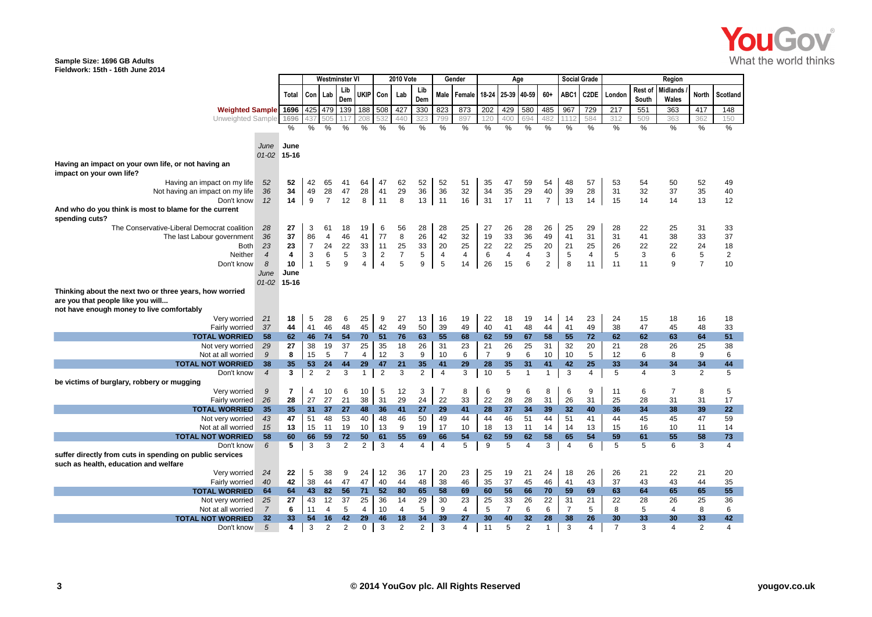#### **Sample Size: 1696 GB Adults Fieldwork: 15th - 16th June 2014**

|                                                          |                 |                 |                | <b>Westminster VI</b> |                |                |                | <b>2010 Vote</b> |                |                | Gender         |                |                | Age            |                |                | <b>Social Grade</b> | Region         |                |                |                |                  |  |
|----------------------------------------------------------|-----------------|-----------------|----------------|-----------------------|----------------|----------------|----------------|------------------|----------------|----------------|----------------|----------------|----------------|----------------|----------------|----------------|---------------------|----------------|----------------|----------------|----------------|------------------|--|
|                                                          |                 |                 |                |                       |                |                |                |                  |                |                |                |                |                |                |                |                |                     |                |                |                |                |                  |  |
|                                                          |                 | Total           |                | Con Lab               | Lib            |                | UKIP Con       | Lab              | Lib            | Male           | Female         | 18-24          | 25-39 40-59    |                | 60+            | ABC1           | C2DE                | London         | Rest of        | Midlands       | <b>North</b>   | Scotland         |  |
|                                                          |                 |                 |                |                       | Dem            |                |                |                  | Dem            |                |                |                |                |                |                |                |                     |                | South          | Wales          |                |                  |  |
| <b>Weighted Sample</b> 1696                              |                 |                 |                | 425 479               | 139            | 188 508        |                | 427              | 330            | 823            | 873            | 202            | 429            | 580            | 485            | 967            | 729                 | 217            | 551            | 363            | 417            | 148              |  |
| Unweighted Sample                                        |                 | 1696            |                |                       |                |                |                | 440              | 323            | 799            | 897            | 120            | 400            | 694            | 482            |                | 584                 | 312            | 509            | 363            | 362            | 150              |  |
|                                                          |                 | %               | %              | %                     | %              | %              | %              | %                | %              | %              | %              | %              | %              | %              | %              | %              | $\%$                | %              | $\%$           | %              | %              | %                |  |
|                                                          |                 |                 |                |                       |                |                |                |                  |                |                |                |                |                |                |                |                |                     |                |                |                |                |                  |  |
|                                                          | June            | June            |                |                       |                |                |                |                  |                |                |                |                |                |                |                |                |                     |                |                |                |                |                  |  |
|                                                          | $01 - 02$ 15-16 |                 |                |                       |                |                |                |                  |                |                |                |                |                |                |                |                |                     |                |                |                |                |                  |  |
| Having an impact on your own life, or not having an      |                 |                 |                |                       |                |                |                |                  |                |                |                |                |                |                |                |                |                     |                |                |                |                |                  |  |
| impact on your own life?                                 |                 |                 |                |                       |                |                |                |                  |                |                |                |                |                |                |                |                |                     |                |                |                |                |                  |  |
| Having an impact on my life                              | 52              | 52              | 42             | 65                    | 41             | 64             | 47             | 62               | 52             | 52             | 51             | 35             | 47             | 59             | 54             | 48             | 57                  | 53             | 54             | 50             | 52             | 49               |  |
| Not having an impact on my life                          | 36              | 34              | 49             | 28                    | 47             | 28             | 41             | 29               | 36             | 36             | 32             | 34             | 35             | 29             | 40             | 39             | 28                  | 31             | 32             | 37             | 35             | 40               |  |
| Don't know                                               | 12              | 14              | 9              | $\overline{7}$        | 12             | 8              | $\vert$ 11     | 8                | 13             | 11             | 16             | 31             | 17             | 11             | $\overline{7}$ | 13             | 14                  | 15             | 14             | 14             | 13             | 12               |  |
| And who do you think is most to blame for the current    |                 |                 |                |                       |                |                |                |                  |                |                |                |                |                |                |                |                |                     |                |                |                |                |                  |  |
| spending cuts?                                           |                 |                 |                |                       |                |                |                |                  |                |                |                |                |                |                |                |                |                     |                |                |                |                |                  |  |
| The Conservative-Liberal Democrat coalition              | 28              | 27              | 3              | 61                    | 18             | 19             | 6              | 56               | 28             | 28             | 25             | 27             | 26             | 28             | 26             | 25             | 29                  | 28             | 22             | 25             | 31             | 33               |  |
| The last Labour government                               | 36              | 37              | 86             | $\overline{4}$        | 46             | 41             | 77             | 8                | 26             | 42             | 32             | 19             | 33             | 36             | 49             | 41             | 31                  | 31             | 41             | 38             | 33             | 37               |  |
| Both                                                     | 23              | 23              | $\overline{7}$ | 24                    | 22             | 33             | 11             | 25               | 33             | 20             | 25             | 22             | 22             | 25             | 20             | 21             | 25                  | 26             | 22             | 22             | 24             | 18               |  |
| Neither                                                  | $\overline{4}$  | 4               | 3              | 6                     | 5              | 3              | $\overline{c}$ | $\overline{7}$   | 5              | $\overline{4}$ | $\overline{4}$ | 6              | $\overline{4}$ | $\overline{4}$ | 3              | 5              | 4                   | 5              | 3              | 6              | 5              | $\boldsymbol{2}$ |  |
| Don't know                                               | 8               | 10              | $\mathbf{1}$   | 5                     | 9              | $\overline{4}$ | $\overline{4}$ | 5                | 9              | 5              | 14             | 26             | 15             | 6              | $\overline{2}$ | 8              | 11                  | 11             | 11             | 9              | $\overline{7}$ | 10               |  |
|                                                          | June            | June            |                |                       |                |                |                |                  |                |                |                |                |                |                |                |                |                     |                |                |                |                |                  |  |
|                                                          |                 | $01 - 02$ 15-16 |                |                       |                |                |                |                  |                |                |                |                |                |                |                |                |                     |                |                |                |                |                  |  |
| Thinking about the next two or three years, how worried  |                 |                 |                |                       |                |                |                |                  |                |                |                |                |                |                |                |                |                     |                |                |                |                |                  |  |
| are you that people like you will                        |                 |                 |                |                       |                |                |                |                  |                |                |                |                |                |                |                |                |                     |                |                |                |                |                  |  |
| not have enough money to live comfortably                |                 |                 |                |                       |                |                |                |                  |                |                |                |                |                |                |                |                |                     |                |                |                |                |                  |  |
| Very worried                                             | 21              | 18              | 5              | 28                    | 6              | 25             | 9              | 27               | 13             | 16             | 19             | 22             | 18             | 19             | 14             | 14             | 23                  | 24             | 15             | 18             | 16             | 18               |  |
| Fairly worried                                           | 37              | 44              | 41             | 46                    | 48             | 45             | 42             | 49               | 50             | 39             | 49             | 40             | 41             | 48             | 44             | 41             | 49                  | 38             | 47             | 45             | 48             | 33               |  |
| <b>TOTAL WORRIED</b>                                     | 58              | 62              | 46             | 74                    | 54             | 70             | 51             | 76               | 63             | 55             | 68             | 62             | 59             | 67             | 58             | 55             | 72                  | 62             | 62             | 63             | 64             | 51               |  |
| Not very worried                                         | 29              | 27              | 38             | 19                    | 37             | 25             | 35             | 18               | 26             | 31             | 23             | 21             | 26             | 25             | 31             | 32             | 20                  | 21             | 28             | 26             | 25             | 38               |  |
| Not at all worried                                       | 9               | 8               | 15             | 5                     | $\overline{7}$ | $\overline{4}$ | 12             | 3                | 9              | 10             | 6              | $\overline{7}$ | 9              | 6              | 10             | 10             | 5                   | 12             | 6              | 8              | 9              | 6                |  |
| <b>TOTAL NOT WORRIED</b>                                 | 38              | 35              | 53             | 24                    | 44             | 29             | 47             | 21               | 35             | 41             | 29             | 28             | 35             | 31             | 41             | 42             | 25                  | 33             | 34             | 34             | 34             | 44               |  |
| Don't know                                               | $\overline{4}$  | 3               | 2              | 2                     | 3              | $\mathbf{1}$   | $\overline{2}$ | 3                | $\overline{2}$ | $\overline{4}$ | 3              | 10             | 5              | $\mathbf{1}$   | $\mathbf{1}$   | 3              | 4                   | 5              | $\overline{4}$ | 3              | $\overline{2}$ | 5                |  |
| be victims of burglary, robbery or mugging               |                 |                 |                |                       |                |                |                |                  |                |                |                |                |                |                |                |                |                     |                |                |                |                |                  |  |
| Very worried                                             | 9               | $\overline{7}$  | 4              | 10                    | 6              | 10             | 5              | 12               | 3              | $\overline{7}$ | 8              | 6              | 9              | 6              | 8              | 6              | 9                   | 11             | 6              | $\overline{7}$ | 8              | 5                |  |
| Fairly worried                                           | 26              | 28              | 27             | 27                    | 21             | 38             | 31             | 29               | 24             | 22             | 33             | 22             | 28             | 28             | 31             | 26             | 31                  | 25             | 28             | 31             | 31             | 17               |  |
| <b>TOTAL WORRIED</b>                                     | 35              | 35              | 31             | 37                    | 27             | 48             | 36             | 41               | 27             | 29             | 41             | 28             | 37             | 34             | 39             | 32             | 40                  | 36             | 34             | 38             | 39             | 22               |  |
| Not very worried                                         | 43              | 47              | 51             | 48                    | 53             | 40             | 48             | 46               | 50             | 49             | 44             | 44             | 46             | 51             | 44             | 51             | 41                  | 44             | 45             | 45             | 47             | 59               |  |
| Not at all worried                                       | 15              | 13              | 15             | 11                    | 19             | 10             | 13             | 9                | 19             | 17             | 10             | 18             | 13             | 11             | 14             | 14             | 13                  | 15             | 16             | 10             | 11             | 14               |  |
| <b>TOTAL NOT WORRIED</b>                                 | 58              | 60              | 66             | 59                    | 72             | 50             | 61             | 55               | 69             | 66             | 54             | 62             | 59             | 62             | 58             | 65             | 54                  | 59             | 61             | 55             | 58             | 73               |  |
| Don't know                                               | 6               | 5               | 3              | 3                     | 2              | $\overline{2}$ | 3              | $\overline{4}$   | $\overline{4}$ | $\overline{4}$ | 5              | 9              | 5              | $\overline{4}$ | 3              | $\overline{4}$ | 6                   | 5              | 5              | 6              | 3              | $\overline{4}$   |  |
| suffer directly from cuts in spending on public services |                 |                 |                |                       |                |                |                |                  |                |                |                |                |                |                |                |                |                     |                |                |                |                |                  |  |
| such as health, education and welfare                    |                 |                 |                |                       |                |                |                |                  |                |                |                |                |                |                |                |                |                     |                |                |                |                |                  |  |
| Very worried                                             | 24              | 22              | 5              | 38                    | 9              | 24             | 12             | 36               | 17             | 20             | 23             | 25             | 19             | 21             | 24             | 18             | 26                  | 26             | 21             | 22             | 21             | 20               |  |
| Fairly worried                                           | 40              | 42              | 38             | 44                    | 47             | 47             | 40             | 44               | 48             | 38             | 46             | 35             | 37             | 45             | 46             | 41             | 43                  | 37             | 43             | 43             | 44             | 35               |  |
| <b>TOTAL WORRIED</b>                                     | 64              | 64              | 43             | 82                    | 56             | 71             | 52             | 80               | 65             | 58             | 69             | 60             | 56             | 66             | 70             | 59             | 69                  | 63             | 64             | 65             | 65             | 55               |  |
| Not very worried                                         | 25              | 27              | 43             | 12                    | 37             | 25             | 36             | 14               | 29             | 30             | 23             | 25             | 33             | 26             | 22             | 31             | 21                  | 22             | 28             | 26             | 25             | 36               |  |
| Not at all worried                                       | $\overline{7}$  | 6               | 11             | 4                     | 5              | 4              | 10             | 4                | 5              | 9              | 4              | 5              | $\overline{7}$ | 6              | 6              | $\overline{7}$ | 5                   | 8              | 5              | $\overline{4}$ | 8              | 6                |  |
| <b>TOTAL NOT WORRIED</b>                                 | 32              | 33              | 54             | 16                    | 42             | 29             | 46             | 18               | 34             | 39             | 27             | 30             | 40             | 32             | 28             | 38             | 26                  | 30             | 33             | 30             | 33             | 42               |  |
|                                                          | 5               | 4               | 3              | 2                     | $\overline{2}$ | $\Omega$       | 3              | $\overline{2}$   | $\overline{2}$ | 3              | 4              | 11             | 5              | 2              | $\mathbf{1}$   | 3              | 4                   | $\overline{7}$ | 3              | $\overline{4}$ | $\overline{2}$ | $\overline{4}$   |  |
| Don't know                                               |                 |                 |                |                       |                |                |                |                  |                |                |                |                |                |                |                |                |                     |                |                |                |                |                  |  |